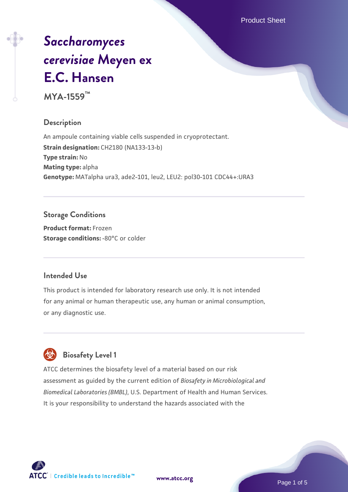Product Sheet

# *[Saccharomyces](https://www.atcc.org/products/mya-1559) [cerevisiae](https://www.atcc.org/products/mya-1559)* **[Meyen ex](https://www.atcc.org/products/mya-1559) [E.C. Hansen](https://www.atcc.org/products/mya-1559)**

**MYA-1559™**

# **Description**

An ampoule containing viable cells suspended in cryoprotectant. **Strain designation:** CH2180 (NA133-13-b) **Type strain:** No **Mating type:** alpha **Genotype:** MATalpha ura3, ade2-101, leu2, LEU2: pol30-101 CDC44+:URA3

# **Storage Conditions**

**Product format:** Frozen **Storage conditions: -80°C or colder** 

#### **Intended Use**

This product is intended for laboratory research use only. It is not intended for any animal or human therapeutic use, any human or animal consumption, or any diagnostic use.

# **Biosafety Level 1**

ATCC determines the biosafety level of a material based on our risk assessment as guided by the current edition of *Biosafety in Microbiological and Biomedical Laboratories (BMBL)*, U.S. Department of Health and Human Services. It is your responsibility to understand the hazards associated with the

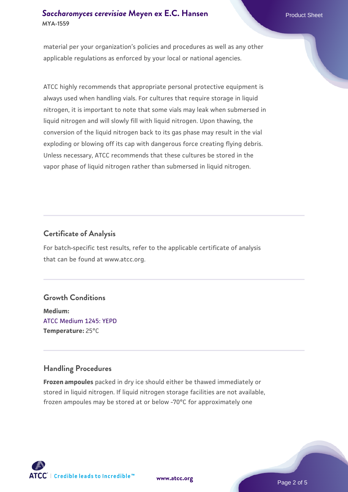# **[Saccharomyces cerevisiae](https://www.atcc.org/products/mya-1559)** [Meyen ex E.C. Hansen](https://www.atcc.org/products/mya-1559) **MYA-1559**

material per your organization's policies and procedures as well as any other applicable regulations as enforced by your local or national agencies.

ATCC highly recommends that appropriate personal protective equipment is always used when handling vials. For cultures that require storage in liquid nitrogen, it is important to note that some vials may leak when submersed in liquid nitrogen and will slowly fill with liquid nitrogen. Upon thawing, the conversion of the liquid nitrogen back to its gas phase may result in the vial exploding or blowing off its cap with dangerous force creating flying debris. Unless necessary, ATCC recommends that these cultures be stored in the vapor phase of liquid nitrogen rather than submersed in liquid nitrogen.

# **Certificate of Analysis**

For batch-specific test results, refer to the applicable certificate of analysis that can be found at www.atcc.org.

#### **Growth Conditions**

**Medium:**  [ATCC Medium 1245: YEPD](https://www.atcc.org/-/media/product-assets/documents/microbial-media-formulations/1/2/4/5/atcc-medium-1245.pdf?rev=705ca55d1b6f490a808a965d5c072196) **Temperature:** 25°C

# **Handling Procedures**

**Frozen ampoules** packed in dry ice should either be thawed immediately or stored in liquid nitrogen. If liquid nitrogen storage facilities are not available, frozen ampoules may be stored at or below -70°C for approximately one



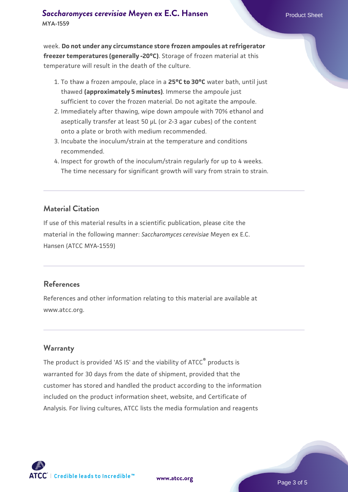week. **Do not under any circumstance store frozen ampoules at refrigerator freezer temperatures (generally -20°C)**. Storage of frozen material at this temperature will result in the death of the culture.

- 1. To thaw a frozen ampoule, place in a **25°C to 30°C** water bath, until just thawed **(approximately 5 minutes)**. Immerse the ampoule just sufficient to cover the frozen material. Do not agitate the ampoule.
- 2. Immediately after thawing, wipe down ampoule with 70% ethanol and aseptically transfer at least 50 µL (or 2-3 agar cubes) of the content onto a plate or broth with medium recommended.
- Incubate the inoculum/strain at the temperature and conditions 3. recommended.
- 4. Inspect for growth of the inoculum/strain regularly for up to 4 weeks. The time necessary for significant growth will vary from strain to strain.

#### **Material Citation**

If use of this material results in a scientific publication, please cite the material in the following manner: *Saccharomyces cerevisiae* Meyen ex E.C. Hansen (ATCC MYA-1559)

#### **References**

References and other information relating to this material are available at www.atcc.org.

#### **Warranty**

The product is provided 'AS IS' and the viability of ATCC® products is warranted for 30 days from the date of shipment, provided that the customer has stored and handled the product according to the information included on the product information sheet, website, and Certificate of Analysis. For living cultures, ATCC lists the media formulation and reagents

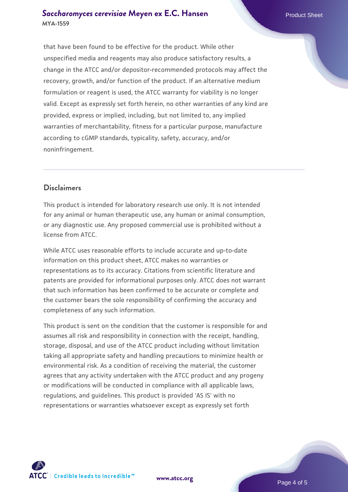#### **[Saccharomyces cerevisiae](https://www.atcc.org/products/mya-1559)** [Meyen ex E.C. Hansen](https://www.atcc.org/products/mya-1559) **MYA-1559**

that have been found to be effective for the product. While other unspecified media and reagents may also produce satisfactory results, a change in the ATCC and/or depositor-recommended protocols may affect the recovery, growth, and/or function of the product. If an alternative medium formulation or reagent is used, the ATCC warranty for viability is no longer valid. Except as expressly set forth herein, no other warranties of any kind are provided, express or implied, including, but not limited to, any implied warranties of merchantability, fitness for a particular purpose, manufacture according to cGMP standards, typicality, safety, accuracy, and/or noninfringement.

# **Disclaimers**

This product is intended for laboratory research use only. It is not intended for any animal or human therapeutic use, any human or animal consumption, or any diagnostic use. Any proposed commercial use is prohibited without a license from ATCC.

While ATCC uses reasonable efforts to include accurate and up-to-date information on this product sheet, ATCC makes no warranties or representations as to its accuracy. Citations from scientific literature and patents are provided for informational purposes only. ATCC does not warrant that such information has been confirmed to be accurate or complete and the customer bears the sole responsibility of confirming the accuracy and completeness of any such information.

This product is sent on the condition that the customer is responsible for and assumes all risk and responsibility in connection with the receipt, handling, storage, disposal, and use of the ATCC product including without limitation taking all appropriate safety and handling precautions to minimize health or environmental risk. As a condition of receiving the material, the customer agrees that any activity undertaken with the ATCC product and any progeny or modifications will be conducted in compliance with all applicable laws, regulations, and guidelines. This product is provided 'AS IS' with no representations or warranties whatsoever except as expressly set forth